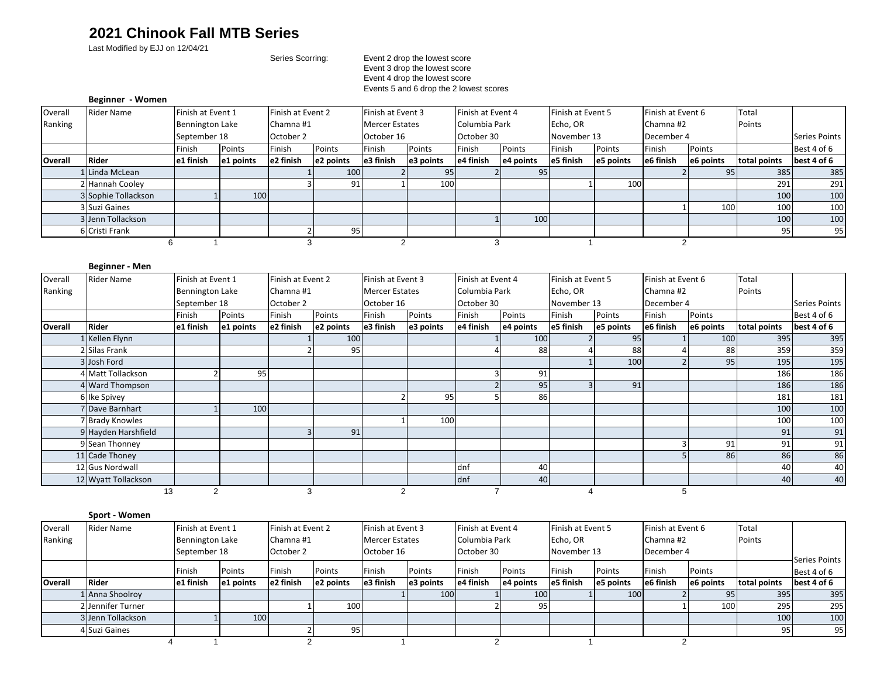# **2021 Chinook Fall MTB Series**

Last Modified by EJJ on 12/04/21

#### Series Scorring: Event 2 drop the lowest score Event 3 drop the lowest score Event 4 drop the lowest score Events 5 and 6 drop the 2 lowest scores

#### **Beginner - Women**

| Overall        | <b>Rider Name</b>   |                        | Finish at Event 1 |           | Finish at Event 2 |                       | Finish at Event 3 |            | Finish at Event 4         |             | Finish at Event 5 | Finish at Event 6 |           | Total        |                      |
|----------------|---------------------|------------------------|-------------------|-----------|-------------------|-----------------------|-------------------|------------|---------------------------|-------------|-------------------|-------------------|-----------|--------------|----------------------|
| Ranking        |                     | <b>Bennington Lake</b> |                   | Chamna #1 |                   | <b>Mercer Estates</b> |                   |            | Columbia Park<br>Echo, OR |             |                   | Chamna#2          |           | Points       |                      |
|                |                     | September 18           |                   | October 2 |                   | October 16            |                   | October 30 |                           | November 13 |                   | December 4        |           |              | <b>Series Points</b> |
|                |                     | Points<br>Finish       |                   | Finish    | Points            | Finish                | Points            | Finish     | Points                    | Finish      | Points            | Finish            | Points    |              | Best 4 of 6          |
| <b>Overall</b> | <b>Rider</b>        | e1 finish              | e1 points         | e2 finish | e2 points         | e3 finish             | e3 points         | e4 finish  | e4 points                 | e5 finish   | e5 points         | e6 finish         | e6 points | total points | best 4 of 6          |
|                | Linda McLean        |                        |                   |           | 100               |                       | 95                |            | 95                        |             |                   |                   | 95        | 385          | 385                  |
|                | 2 Hannah Cooley     |                        |                   |           | 91                |                       | 100               |            |                           |             | 100               |                   |           | 291          | 291                  |
|                | 3 Sophie Tollackson |                        | 100               |           |                   |                       |                   |            |                           |             |                   |                   |           | 100          | 100                  |
|                | 3 Suzi Gaines       |                        |                   |           |                   |                       |                   |            |                           |             |                   |                   | 100       | 100          | 100                  |
|                | 3 Jenn Tollackson   |                        |                   |           |                   |                       |                   |            | 100                       |             |                   |                   |           | 100          | 100                  |
|                | 6 Cristi Frank      |                        |                   |           | 95                |                       |                   |            |                           |             |                   |                   |           | 95           | 95                   |
|                |                     |                        |                   |           |                   |                       |                   |            |                           |             |                   |                   |           |              |                      |

## **Beginner - Men**

| Overall | <b>Rider Name</b>    |                 | Finish at Event 1 |           | Finish at Event 2 |                | Finish at Event 3     |            | Finish at Event 4 |             | Finish at Event 5 |            | Finish at Event 6 |              |               |
|---------|----------------------|-----------------|-------------------|-----------|-------------------|----------------|-----------------------|------------|-------------------|-------------|-------------------|------------|-------------------|--------------|---------------|
| Ranking |                      | Bennington Lake |                   |           | Chamna #1         |                | <b>Mercer Estates</b> |            | Columbia Park     |             | Echo, OR          |            | Chamna #2         |              |               |
|         |                      | September 18    |                   | October 2 |                   | October 16     |                       | October 30 |                   | November 13 |                   | December 4 |                   |              | Series Points |
|         |                      | Finish          | Finish<br>Points  |           | Points            | Finish         | Points                | Finish     | Points            | Finish      | Points            | Finish     | Points            |              | Best 4 of 6   |
| Overall | Rider                | e1 finish       | e1 points         | e2 finish | e2 points         | e3 finish      | e3 points             | e4 finish  | e4 points         | e5 finish   | e5 points         | e6 finish  | e6 points         | total points | best 4 of 6   |
|         | Kellen Flynn         |                 |                   |           | 100               |                |                       |            | 100               |             | 95                |            | 100               | 395          | 395           |
|         | Silas Frank          |                 |                   |           | 95                |                |                       |            | 88                |             | 88                |            | 88                | 359          | 359           |
|         | 3 Josh Ford          |                 |                   |           |                   |                |                       |            |                   |             | 100               |            | 95                | 195          | 195           |
|         | 4 Matt Tollackson    |                 | 95                |           |                   |                |                       |            | 91                |             |                   |            |                   | 186          | 186           |
|         | 4 Ward Thompson      |                 |                   |           |                   |                |                       |            | 95                |             | 91                |            |                   | 186          | 186           |
|         | 6 Ike Spivey         |                 |                   |           |                   |                | 95                    |            | 86                |             |                   |            |                   | 181          | 181           |
|         | Dave Barnhart        |                 | 100               |           |                   |                |                       |            |                   |             |                   |            |                   | 100          | 100           |
|         | <b>Brady Knowles</b> |                 |                   |           |                   |                | 100                   |            |                   |             |                   |            |                   | 100          | 100           |
|         | 9 Hayden Harshfield  |                 |                   |           | 91                |                |                       |            |                   |             |                   |            |                   | 91           | 91            |
|         | 9 Sean Thonney       |                 |                   |           |                   |                |                       |            |                   |             |                   |            | 91                | 91           | 91            |
|         | 11 Cade Thoney       |                 |                   |           |                   |                |                       |            |                   |             |                   |            | 86                | 86           | 86            |
|         | 12 Gus Nordwall      |                 |                   |           |                   |                |                       | dnf        | 40                |             |                   |            |                   | 40           | 40            |
|         | 12 Wyatt Tollackson  |                 |                   |           |                   |                |                       | dnf        | 40                |             |                   |            |                   | 40           | 40            |
|         | 13                   | $\overline{2}$  |                   | c         |                   | $\overline{2}$ |                       |            |                   |             |                   | 5.         |                   |              |               |

### **Sport - Women**

| Overall        | <b>Rider Name</b> |                 | Finish at Event 1 |           | Finish at Event 2 |                | <b>Finish at Event 3</b> |               | Finish at Event 4 |             | Finish at Event 5 | Finish at Event 6 |           | Total        |               |
|----------------|-------------------|-----------------|-------------------|-----------|-------------------|----------------|--------------------------|---------------|-------------------|-------------|-------------------|-------------------|-----------|--------------|---------------|
| Ranking        |                   | Bennington Lake |                   | Chamna #1 |                   | Mercer Estates |                          | Columbia Park |                   | Echo, OR    |                   | Chamna #2         |           | Points       |               |
|                |                   | September 18    |                   | October 2 |                   | October 16     |                          | October 30    |                   | November 13 |                   | December 4        |           |              |               |
|                |                   |                 |                   |           |                   |                |                          |               |                   |             |                   |                   |           |              | Series Points |
|                |                   | Finish          | Points            | Finish    | Points            | Finish         | Points                   | Finish        | Points            | Finish      | Points            | Finish            | Points    |              | Best 4 of 6   |
| <b>Overall</b> | <b>Rider</b>      | e1 finish       | e1 points         | e2 finish | e2 points         | e3 finish      | e3 points                | e4 finish     | e4 points         | e5 finish   | e5 points         | e6 finish         | e6 points | total points | best 4 of 6   |
|                | LAnna Shoolroy    |                 |                   |           |                   |                | 100                      |               | 100               |             | 100               |                   | 951       | 395          | 395           |
|                | 2 Jennifer Turner |                 |                   |           | 100               |                |                          |               | 95                |             |                   |                   | 100       | 295          | 295           |
|                | 3 Jenn Tollackson |                 | 100               |           |                   |                |                          |               |                   |             |                   |                   |           | 100          | 100           |
|                | 4 Suzi Gaines     |                 |                   |           | 95 <sub>1</sub>   |                |                          |               |                   |             |                   |                   |           | 95           | 95            |
|                |                   |                 |                   |           |                   |                |                          |               |                   |             |                   |                   |           |              |               |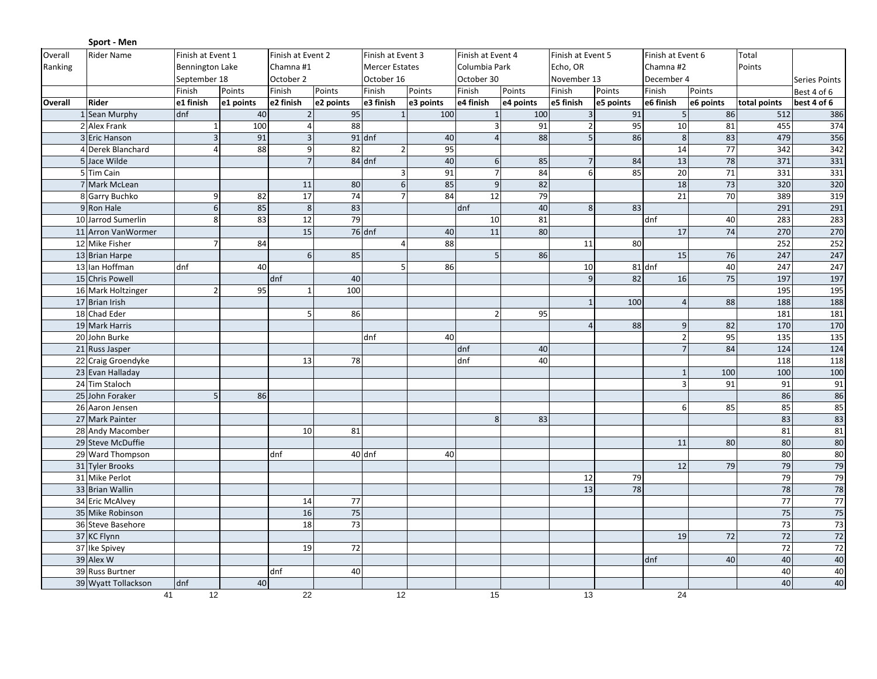|         | Sport - Men         |                        |           |                         |           |                       |                               |                  |                   |                   |           |                   |                 |                 |                      |  |
|---------|---------------------|------------------------|-----------|-------------------------|-----------|-----------------------|-------------------------------|------------------|-------------------|-------------------|-----------|-------------------|-----------------|-----------------|----------------------|--|
| Overall | <b>Rider Name</b>   | Finish at Event 1      |           | Finish at Event 2       |           | Finish at Event 3     |                               |                  | Finish at Event 4 | Finish at Event 5 |           | Finish at Event 6 |                 |                 |                      |  |
| Ranking |                     | <b>Bennington Lake</b> |           | Chamna #1               |           | <b>Mercer Estates</b> |                               | Columbia Park    |                   | Echo, OR          |           | Chamna #2         |                 | Points          |                      |  |
|         |                     | September 18           |           | October 2               |           |                       | October 16                    |                  | October 30        | November 13       |           | December 4        |                 |                 | <b>Series Points</b> |  |
|         |                     | Finish                 | Points    | Finish                  | Points    | Finish                | Points                        | Finish           | Points            | Finish            | Points    | Finish            | Points          |                 | Best 4 of 6          |  |
| Overall | Rider               | e1 finish              | e1 points | e2 finish               | e2 points | e3 finish             | e3 points                     | e4 finish        | e4 points         | e5 finish         | e5 points | e6 finish         | e6 points       | total points    | best 4 of 6          |  |
|         | 1 Sean Murphy       | dnf                    | 40        | $\overline{2}$          | 95        | $\mathbf{1}$          | 100                           | $\mathbf{1}$     | 100               | $\overline{3}$    | 91        | 5 <sub>l</sub>    | 86              | 512             | 386                  |  |
|         | 2 Alex Frank        | $\mathbf{1}$           | 100       | $\overline{\mathbf{4}}$ | 88        |                       |                               | $\overline{3}$   | 91                | $\overline{2}$    | 95        | 10                | 81              | 455             | 374                  |  |
|         | 3 Eric Hanson       | $\overline{3}$         | 91        | $\mathsf 3$             |           | $91$ dnf              | 40                            | $\overline{4}$   | 88                | 5                 | 86        | 8                 | 83              | 479             | 356                  |  |
|         | 4 Derek Blanchard   | $\overline{4}$         | 88        | 9                       | 82        |                       | 95<br>$\overline{2}$          |                  |                   |                   |           | $14\,$            | 77              | 342             | 342                  |  |
|         | 5 Jace Wilde        |                        |           | $\overline{7}$          |           | 84 dnf                | 40                            | $6 \overline{6}$ | 85                | $\overline{7}$    | 84        | 13                | $\overline{78}$ | 371             | 331                  |  |
|         | 5 Tim Cain          |                        |           |                         |           |                       | 91<br>$\overline{\mathbf{3}}$ | $\overline{7}$   | 84                | 6                 | 85        | 20                | $\overline{71}$ | 331             | 331                  |  |
|         | 7 Mark McLean       |                        |           | 11                      | 80        |                       | 85<br>6                       | $\overline{9}$   | 82                |                   |           | $\overline{18}$   | 73              | 320             | 320                  |  |
|         | 8 Garry Buchko      | 9                      | 82        | 17                      | 74        |                       | 84                            | 12               | 79                |                   |           | 21                | 70              | 389             | 319                  |  |
|         | 9 Ron Hale          | $6 \mid$               | 85        | $\bf 8$                 | 83        |                       |                               | dnf              | 40                | 8                 | 83        |                   |                 | 291             | 291                  |  |
|         | 10 Jarrod Sumerlin  | 8                      | 83        | 12                      | 79        |                       |                               | 10               | 81                |                   |           | dnf               | 40              | 283             | 283                  |  |
|         | 11 Arron VanWormer  |                        |           | 15                      |           | 76 dnf                | 40                            | 11               | 80                |                   |           | 17                | 74              | 270             | 270                  |  |
|         | 12 Mike Fisher      | $\overline{7}$         | 84        |                         |           |                       | 88<br>$\Delta$                |                  |                   | 11                | 80        |                   |                 | 252             | 252                  |  |
|         | 13 Brian Harpe      |                        |           | 6                       | 85        |                       |                               | 5 <sub>l</sub>   | 86                |                   |           | 15                | 76              | 247             | 247                  |  |
|         | 13 Ian Hoffman      | dnf                    | 40        |                         |           |                       | 86<br>5 <sub>l</sub>          |                  |                   | 10                |           | 81 dnf            | 40              | 247             | 247                  |  |
|         | 15 Chris Powell     |                        |           | dnf                     | 40        |                       |                               |                  |                   | 9                 | 82        | 16                | 75              | 197             | 197                  |  |
|         | 16 Mark Holtzinger  | $\overline{2}$         | 95        |                         | 100       |                       |                               |                  |                   |                   |           |                   |                 | 195             | $\overline{195}$     |  |
|         | 17 Brian Irish      |                        |           |                         |           |                       |                               |                  |                   | $\overline{1}$    | 100       | $\overline{4}$    | 88              | 188             | 188                  |  |
|         | 18 Chad Eder        |                        |           | 5                       | 86        |                       |                               | $\overline{2}$   | 95                |                   |           |                   |                 | 181             | 181                  |  |
|         | 19 Mark Harris      |                        |           |                         |           |                       |                               |                  |                   | $\overline{4}$    | 88        | 9                 | 82              | 170             | 170                  |  |
|         | 20 John Burke       |                        |           |                         |           | dnf                   | 40                            |                  |                   |                   |           | $\overline{2}$    | 95              | 135             | 135                  |  |
|         | 21 Russ Jasper      |                        |           |                         |           |                       |                               | dnf              | 40                |                   |           | 7 <sup>1</sup>    | 84              | 124             | 124                  |  |
|         | 22 Craig Groendyke  |                        |           | 13                      | 78        |                       |                               | dnf              | 40                |                   |           |                   |                 | 118             | 118                  |  |
|         | 23 Evan Halladay    |                        |           |                         |           |                       |                               |                  |                   |                   |           | $\mathbf{1}$      | 100             | 100             | 100                  |  |
|         | 24 Tim Staloch      |                        |           |                         |           |                       |                               |                  |                   |                   |           | $\overline{3}$    | 91              | 91              | 91                   |  |
|         | 25 John Foraker     | 5 <sub>1</sub>         | 86        |                         |           |                       |                               |                  |                   |                   |           |                   |                 | 86              | 86                   |  |
|         | 26 Aaron Jensen     |                        |           |                         |           |                       |                               |                  |                   |                   |           | $6 \mid$          | 85              | 85              | 85                   |  |
|         | 27 Mark Painter     |                        |           |                         |           |                       |                               | 8                | 83                |                   |           |                   |                 | 83              | 83                   |  |
|         | 28 Andy Macomber    |                        |           | 10                      | 81        |                       |                               |                  |                   |                   |           |                   |                 | 81              | 81                   |  |
|         | 29 Steve McDuffie   |                        |           |                         |           |                       |                               |                  |                   |                   |           | 11                | 80              | 80              | 80                   |  |
|         | 29 Ward Thompson    |                        |           | dnf                     |           | 40 dnf                | 40                            |                  |                   |                   |           |                   |                 | 80              | 80                   |  |
|         | 31 Tyler Brooks     |                        |           |                         |           |                       |                               |                  |                   |                   |           | 12                | 79              | 79              | 79                   |  |
|         | 31 Mike Perlot      |                        |           |                         |           |                       |                               |                  |                   | 12                | 79        |                   |                 | 79              | 79                   |  |
|         | 33 Brian Wallin     |                        |           |                         |           |                       |                               |                  |                   | 13                | 78        |                   |                 | 78              | 78                   |  |
|         | 34 Eric McAlvey     |                        |           | 14                      | 77        |                       |                               |                  |                   |                   |           |                   |                 | $\overline{77}$ | $\overline{77}$      |  |
|         | 35 Mike Robinson    |                        |           | 16                      | 75        |                       |                               |                  |                   |                   |           |                   |                 | 75              | 75                   |  |
|         | 36 Steve Basehore   |                        |           | 18                      | 73        |                       |                               |                  |                   |                   |           |                   |                 | $\overline{73}$ | 73                   |  |
|         | 37 KC Flynn         |                        |           |                         |           |                       |                               |                  |                   |                   |           | 19                | 72              | 72              | 72                   |  |
|         | 37 Ike Spivey       |                        |           | 19                      | 72        |                       |                               |                  |                   |                   |           |                   |                 | $\frac{1}{72}$  | 72                   |  |
|         | 39 Alex W           |                        |           |                         |           |                       |                               |                  |                   |                   |           | dnf               | 40              | 40              | 40                   |  |
|         | 39 Russ Burtner     |                        |           | dnf                     | 40        |                       |                               |                  |                   |                   |           |                   |                 | 40              | 40                   |  |
|         | 39 Wyatt Tollackson | dnf                    | 40        |                         |           |                       |                               |                  |                   |                   |           |                   |                 | 40              | 40                   |  |